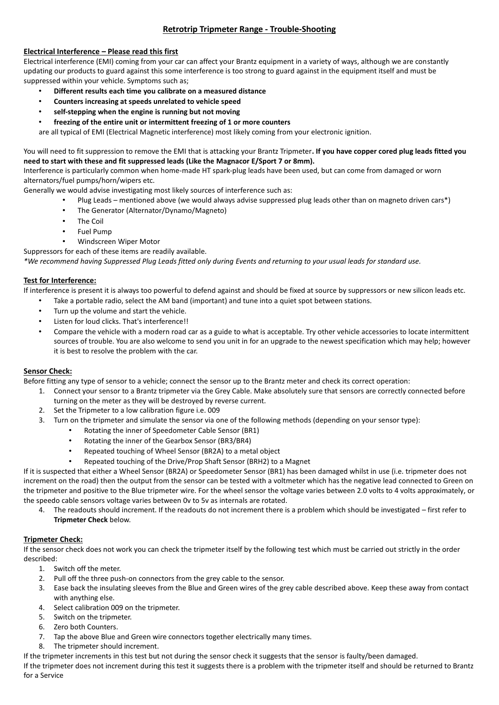# **Retrotrip Tripmeter Range - Trouble-Shooting**

## **Electrical Interference – Please read this first**

Electrical interference (EMI) coming from your car can affect your Brantz equipment in a variety of ways, although we are constantly updating our products to guard against this some interference is too strong to guard against in the equipment itself and must be suppressed within your vehicle. Symptoms such as;

- **Different results each time you calibrate on a measured distance**
- **Counters increasing at speeds unrelated to vehicle speed**
- **self-stepping when the engine is running but not moving**
- **freezing of the entire unit or intermittent freezing of 1 or more counters**

are all typical of EMI (Electrical Magnetic interference) most likely coming from your electronic ignition.

You will need to fit suppression to remove the EMI that is attacking your Brantz Tripmeter**. If you have copper cored plug leads fitted you need to start with these and fit suppressed leads (Like the [Magnacor](http://www.magnecor.co.uk/) E/Sport 7 or 8mm).**

Interference is particularly common when home-made HT spark-plug leads have been used, but can come from damaged or worn alternators/fuel pumps/horn/wipers etc.

Generally we would advise investigating most likely sources of interference such as:

- Plug Leads mentioned above (we would always advise suppressed plug leads other than on magneto driven cars\*)
	- The Generator (Alternator/Dynamo/Magneto)
	- The Coil
	- Fuel Pump
	- Windscreen Wiper Motor
- Suppressors for each of these items are readily available.

*\*We recommend having Suppressed Plug Leads fitted only during Events and returning to your usual leads for standard use.*

### **Test for Interference:**

If interference is present it is always too powerful to defend against and should be fixed at source by suppressors or new silicon leads etc.

- Take a portable radio, select the AM band (important) and tune into a quiet spot between stations.
- Turn up the volume and start the vehicle.
- Listen for loud clicks. That's interference!!
- Compare the vehicle with a modern road car as a guide to what is acceptable. Try other vehicle accessories to locate intermittent sources of trouble. You are also welcome to send you unit in for an upgrade to the newest specification which may help; however it is best to resolve the problem with the car.

## **Sensor Check:**

Before fitting any type of sensor to a vehicle; connect the sensor up to the Brantz meter and check its correct operation:

- 1. Connect your sensor to a Brantz tripmeter via the Grey Cable. Make absolutely sure that sensors are correctly connected before turning on the meter as they will be destroyed by reverse current.
- 2. Set the Tripmeter to a low calibration figure i.e. 009
- 3. Turn on the tripmeter and simulate the sensor via one of the following methods (depending on your sensor type):
	- Rotating the inner of Speedometer Cable Sensor (BR1)
	- Rotating the inner of the Gearbox Sensor (BR3/BR4)
	- Repeated touching of Wheel Sensor (BR2A) to a metal object
	- Repeated touching of the Drive/Prop Shaft Sensor (BRH2) to a Magnet

If it is suspected that either a Wheel Sensor (BR2A) or Speedometer Sensor (BR1) has been damaged whilst in use (i.e. tripmeter does not increment on the road) then the output from the sensor can be tested with a voltmeter which has the negative lead connected to Green on the tripmeter and positive to the Blue tripmeter wire. For the wheel sensor the voltage varies between 2.0 volts to 4 volts approximately, or the speedo cable sensors voltage varies between 0v to 5v as internals are rotated.

4. The readouts should increment. If the readouts do not increment there is a problem which should be investigated – first refer to **Tripmeter Check** below.

## **Tripmeter Check:**

If the sensor check does not work you can check the tripmeter itself by the following test which must be carried out strictly in the order described:

- 1. Switch off the meter.
- 2. Pull off the three push-on connectors from the grey cable to the sensor.
- 3. Ease back the insulating sleeves from the Blue and Green wires of the grey cable described above. Keep these away from contact with anything else.
- 4. Select calibration 009 on the tripmeter.
- 5. Switch on the tripmeter.
- 6. Zero both Counters.
- 7. Tap the above Blue and Green wire connectors together electrically many times.
- 8. The tripmeter should increment.
- If the tripmeter increments in this test but not during the sensor check it suggests that the sensor is faulty/been damaged.

If the tripmeter does not increment during this test it suggests there is a problem with the tripmeter itself and should be returned to Brantz for a Service